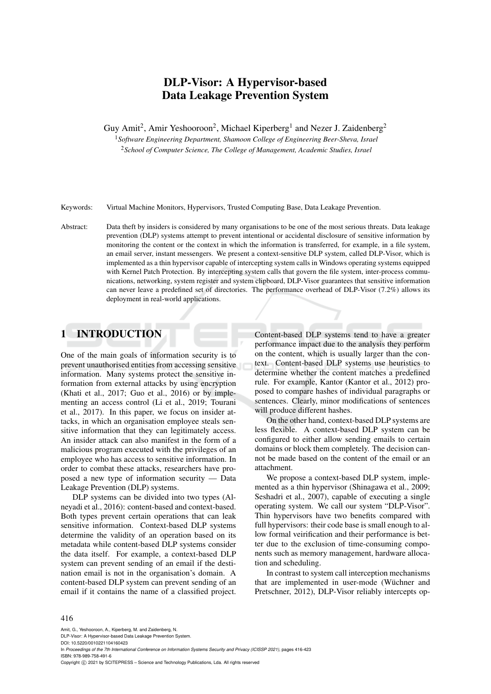# DLP-Visor: A Hypervisor-based Data Leakage Prevention System

Guy Amit<sup>2</sup>, Amir Yeshooroon<sup>2</sup>, Michael Kiperberg<sup>1</sup> and Nezer J. Zaidenberg<sup>2</sup>

<sup>1</sup>*Software Engineering Department, Shamoon College of Engineering Beer-Sheva, Israel* <sup>2</sup>*School of Computer Science, The College of Management, Academic Studies, Israel*

Keywords: Virtual Machine Monitors, Hypervisors, Trusted Computing Base, Data Leakage Prevention.

Abstract: Data theft by insiders is considered by many organisations to be one of the most serious threats. Data leakage prevention (DLP) systems attempt to prevent intentional or accidental disclosure of sensitive information by monitoring the content or the context in which the information is transferred, for example, in a file system, an email server, instant messengers. We present a context-sensitive DLP system, called DLP-Visor, which is implemented as a thin hypervisor capable of intercepting system calls in Windows operating systems equipped with Kernel Patch Protection. By intercepting system calls that govern the file system, inter-process communications, networking, system register and system clipboard, DLP-Visor guarantees that sensitive information can never leave a predefined set of directories. The performance overhead of DLP-Visor (7.2%) allows its deployment in real-world applications.

## 1 INTRODUCTION

One of the main goals of information security is to prevent unauthorised entities from accessing sensitive information. Many systems protect the sensitive information from external attacks by using encryption (Khati et al., 2017; Guo et al., 2016) or by implementing an access control (Li et al., 2019; Tourani et al., 2017). In this paper, we focus on insider attacks, in which an organisation employee steals sensitive information that they can legitimately access. An insider attack can also manifest in the form of a malicious program executed with the privileges of an employee who has access to sensitive information. In order to combat these attacks, researchers have proposed a new type of information security — Data Leakage Prevention (DLP) systems.

DLP systems can be divided into two types (Alneyadi et al., 2016): content-based and context-based. Both types prevent certain operations that can leak sensitive information. Context-based DLP systems determine the validity of an operation based on its metadata while content-based DLP systems consider the data itself. For example, a context-based DLP system can prevent sending of an email if the destination email is not in the organisation's domain. A content-based DLP system can prevent sending of an email if it contains the name of a classified project.

Content-based DLP systems tend to have a greater performance impact due to the analysis they perform on the content, which is usually larger than the context. Content-based DLP systems use heuristics to determine whether the content matches a predefined rule. For example, Kantor (Kantor et al., 2012) proposed to compare hashes of individual paragraphs or sentences. Clearly, minor modifications of sentences will produce different hashes.

On the other hand, context-based DLP systems are less flexible. A context-based DLP system can be configured to either allow sending emails to certain domains or block them completely. The decision cannot be made based on the content of the email or an attachment.

We propose a context-based DLP system, implemented as a thin hypervisor (Shinagawa et al., 2009; Seshadri et al., 2007), capable of executing a single operating system. We call our system "DLP-Visor". Thin hypervisors have two benefits compared with full hypervisors: their code base is small enough to allow formal veirification and their performance is better due to the exclusion of time-consuming components such as memory management, hardware allocation and scheduling.

In contrast to system call interception mechanisms that are implemented in user-mode (Wüchner and Pretschner, 2012), DLP-Visor reliably intercepts op-

#### 416

Amit, G., Yeshooroon, A., Kiperberg, M. and Zaidenberg, N.

DLP-Visor: A Hypervisor-based Data Leakage Prevention System. DOI: 10.5220/0010221104160423

In *Proceedings of the 7th International Conference on Information Systems Security and Privacy (ICISSP 2021)*, pages 416-423 ISBN: 978-989-758-491-6

Copyright (C) 2021 by SCITEPRESS - Science and Technology Publications, Lda. All rights reserved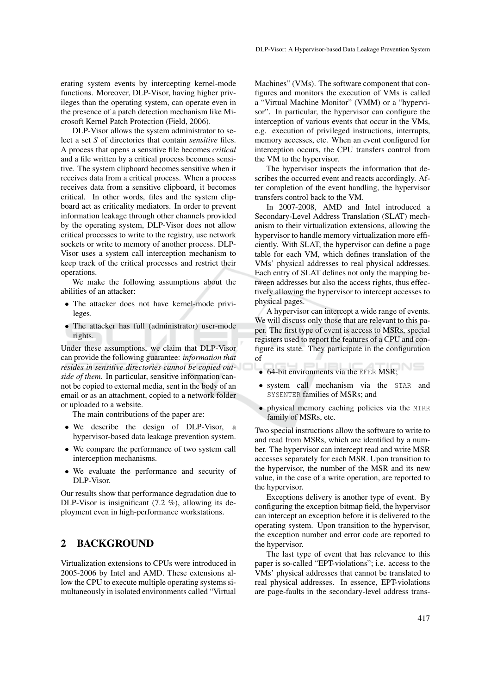erating system events by intercepting kernel-mode functions. Moreover, DLP-Visor, having higher privileges than the operating system, can operate even in the presence of a patch detection mechanism like Microsoft Kernel Patch Protection (Field, 2006).

DLP-Visor allows the system administrator to select a set *S* of directories that contain *sensitive* files. A process that opens a sensitive file becomes *critical* and a file written by a critical process becomes sensitive. The system clipboard becomes sensitive when it receives data from a critical process. When a process receives data from a sensitive clipboard, it becomes critical. In other words, files and the system clipboard act as criticality mediators. In order to prevent information leakage through other channels provided by the operating system, DLP-Visor does not allow critical processes to write to the registry, use network sockets or write to memory of another process. DLP-Visor uses a system call interception mechanism to keep track of the critical processes and restrict their operations.

We make the following assumptions about the abilities of an attacker:

- The attacker does not have kernel-mode privileges.
- The attacker has full (administrator) user-mode rights.

Under these assumptions, we claim that DLP-Visor can provide the following guarantee: *information that resides in sensitive directories cannot be copied outside of them*. In particular, sensitive information cannot be copied to external media, sent in the body of an email or as an attachment, copied to a network folder or uploaded to a website.

The main contributions of the paper are:

- We describe the design of DLP-Visor, a hypervisor-based data leakage prevention system.
- We compare the performance of two system call interception mechanisms.
- We evaluate the performance and security of DLP-Visor.

Our results show that performance degradation due to DLP-Visor is insignificant (7.2 %), allowing its deployment even in high-performance workstations.

## 2 BACKGROUND

Virtualization extensions to CPUs were introduced in 2005-2006 by Intel and AMD. These extensions allow the CPU to execute multiple operating systems simultaneously in isolated environments called "Virtual

Machines" (VMs). The software component that configures and monitors the execution of VMs is called a "Virtual Machine Monitor" (VMM) or a "hypervisor". In particular, the hypervisor can configure the interception of various events that occur in the VMs, e.g. execution of privileged instructions, interrupts, memory accesses, etc. When an event configured for interception occurs, the CPU transfers control from the VM to the hypervisor.

The hypervisor inspects the information that describes the occurred event and reacts accordingly. After completion of the event handling, the hypervisor transfers control back to the VM.

In 2007-2008, AMD and Intel introduced a Secondary-Level Address Translation (SLAT) mechanism to their virtualization extensions, allowing the hypervisor to handle memory virtualization more efficiently. With SLAT, the hypervisor can define a page table for each VM, which defines translation of the VMs' physical addresses to real physical addresses. Each entry of SLAT defines not only the mapping between addresses but also the access rights, thus effectively allowing the hypervisor to intercept accesses to physical pages.

A hypervisor can intercept a wide range of events. We will discuss only those that are relevant to this paper. The first type of event is access to MSRs, special registers used to report the features of a CPU and configure its state. They participate in the configuration of

- 64-bit environments via the EFER MSR;
- system call mechanism via the STAR and SYSENTER families of MSRs; and
- physical memory caching policies via the MTRR family of MSRs, etc.

Two special instructions allow the software to write to and read from MSRs, which are identified by a number. The hypervisor can intercept read and write MSR accesses separately for each MSR. Upon transition to the hypervisor, the number of the MSR and its new value, in the case of a write operation, are reported to the hypervisor.

Exceptions delivery is another type of event. By configuring the exception bitmap field, the hypervisor can intercept an exception before it is delivered to the operating system. Upon transition to the hypervisor, the exception number and error code are reported to the hypervisor.

The last type of event that has relevance to this paper is so-called "EPT-violations"; i.e. access to the VMs' physical addresses that cannot be translated to real physical addresses. In essence, EPT-violations are page-faults in the secondary-level address trans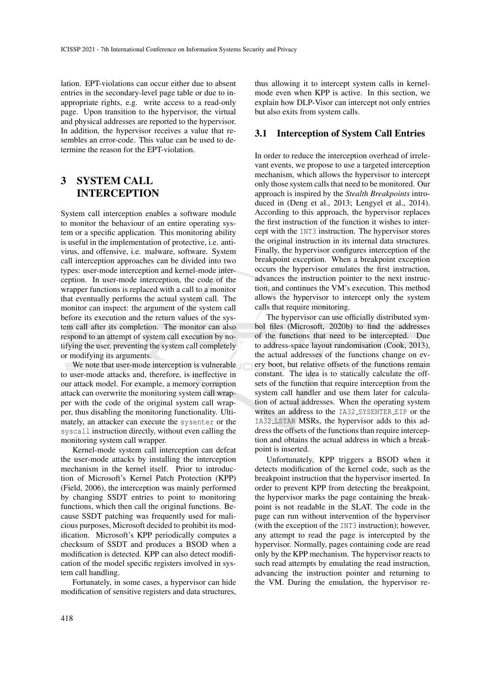lation. EPT-violations can occur either due to absent entries in the secondary-level page table or due to inappropriate rights, e.g. write access to a read-only page. Upon transition to the hypervisor, the virtual and physical addresses are reported to the hypervisor. In addition, the hypervisor receives a value that resembles an error-code. This value can be used to determine the reason for the EPT-violation.

# 3 SYSTEM CALL INTERCEPTION

System call interception enables a software module to monitor the behaviour of an entire operating system or a specific application. This monitoring ability is useful in the implementation of protective, i.e. antivirus, and offensive, i.e. malware, software. System call interception approaches can be divided into two types: user-mode interception and kernel-mode interception. In user-mode interception, the code of the wrapper functions is replaced with a call to a monitor that eventually performs the actual system call. The monitor can inspect: the argument of the system call before its execution and the return values of the system call after its completion. The monitor can also respond to an attempt of system call execution by notifying the user, preventing the system call completely or modifying its arguments.

We note that user-mode interception is vulnerable to user-mode attacks and, therefore, is ineffective in our attack model. For example, a memory corruption attack can overwrite the monitoring system call wrapper with the code of the original system call wrapper, thus disabling the monitoring functionality. Ultimately, an attacker can execute the sysenter or the syscall instruction directly, without even calling the monitoring system call wrapper.

Kernel-mode system call interception can defeat the user-mode attacks by installing the interception mechanism in the kernel itself. Prior to introduction of Microsoft's Kernel Patch Protection (KPP) (Field, 2006), the interception was mainly performed by changing SSDT entries to point to monitoring functions, which then call the original functions. Because SSDT patching was frequently used for malicious purposes, Microsoft decided to prohibit its modification. Microsoft's KPP periodically computes a checksum of SSDT and produces a BSOD when a modification is detected. KPP can also detect modification of the model specific registers involved in system call handling.

Fortunately, in some cases, a hypervisor can hide modification of sensitive registers and data structures,

thus allowing it to intercept system calls in kernelmode even when KPP is active. In this section, we explain how DLP-Visor can intercept not only entries but also exits from system calls.

#### 3.1 Interception of System Call Entries

In order to reduce the interception overhead of irrelevant events, we propose to use a targeted interception mechanism, which allows the hypervisor to intercept only those system calls that need to be monitored. Our approach is inspired by the *Stealth Breakpoints* introduced in (Deng et al., 2013; Lengyel et al., 2014). According to this approach, the hypervisor replaces the first instruction of the function it wishes to intercept with the INT3 instruction. The hypervisor stores the original instruction in its internal data structures. Finally, the hypervisor configures interception of the breakpoint exception. When a breakpoint exception occurs the hypervisor emulates the first instruction, advances the instruction pointer to the next instruction, and continues the VM's execution. This method allows the hypervisor to intercept only the system calls that require monitoring.

The hypervisor can use officially distributed symbol files (Microsoft, 2020b) to find the addresses of the functions that need to be intercepted. Due to address-space layout randomisation (Cook, 2013), the actual addresses of the functions change on every boot, but relative offsets of the functions remain constant. The idea is to statically calculate the offsets of the function that require interception from the system call handler and use them later for calculation of actual addresses. When the operating system writes an address to the IA32\_SYSENTER\_EIP or the IA32 LSTAR MSRs, the hypervisor adds to this address the offsets of the functions than require interception and obtains the actual address in which a breakpoint is inserted.

Unfortunately, KPP triggers a BSOD when it detects modification of the kernel code, such as the breakpoint instruction that the hypervisor inserted. In order to prevent KPP from detecting the breakpoint, the hypervisor marks the page containing the breakpoint is not readable in the SLAT. The code in the page can run without intervention of the hypervisor (with the exception of the INT3 instruction); however, any attempt to read the page is intercepted by the hypervisor. Normally, pages containing code are read only by the KPP mechanism. The hypervisor reacts to such read attempts by emulating the read instruction, advancing the instruction pointer and returning to the VM. During the emulation, the hypervisor re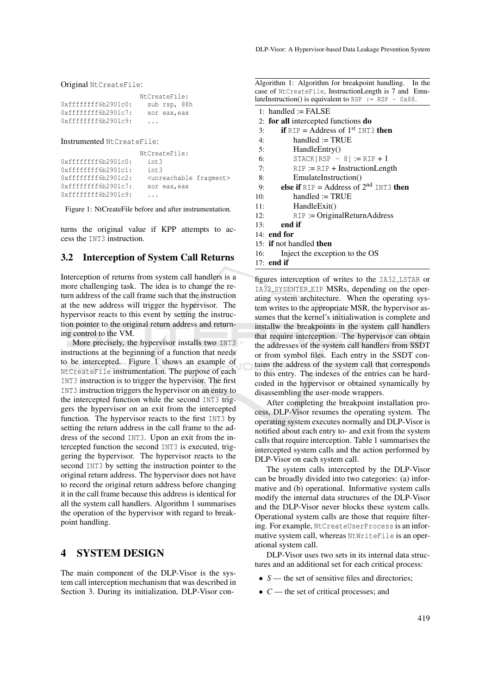Original NtCreateFile:

|                      | NtCreateFile: |  |  |
|----------------------|---------------|--|--|
| 0xfffffffff6b2901c0: | sub rsp, 88h  |  |  |
| 0xfffffffff6b2901c7: | xor eax, eax  |  |  |
| 0xfffffffff6b2901c9: | .             |  |  |

#### Instrumented NtCreateFile:

|                     | NtCreateFile:                           |  |
|---------------------|-----------------------------------------|--|
| 0xffffffff6b2901c0: | int.3                                   |  |
| 0xffffffff6b2901c1: | int.3                                   |  |
| 0xffffffff6b2901c2: | <unreachable fragment=""></unreachable> |  |
| 0xffffffff6b2901c7: | xor eax, eax                            |  |
| 0xffffffff6b2901c9: |                                         |  |

Figure 1: NtCreateFile before and after instrumentation.

turns the original value if KPP attempts to access the INT3 instruction.

#### 3.2 Interception of System Call Returns

Interception of returns from system call handlers is a more challenging task. The idea is to change the return address of the call frame such that the instruction at the new address will trigger the hypervisor. The hypervisor reacts to this event by setting the instruction pointer to the original return address and returning control to the VM.

More precisely, the hypervisor installs two INT3 instructions at the beginning of a function that needs to be intercepted. Figure 1 shows an example of NtCreateFile instrumentation. The purpose of each INT3 instruction is to trigger the hypervisor. The first INT3 instruction triggers the hypervisor on an entry to the intercepted function while the second INT3 triggers the hypervisor on an exit from the intercepted function. The hypervisor reacts to the first INT3 by setting the return address in the call frame to the address of the second INT3. Upon an exit from the intercepted function the second INT3 is executed, triggering the hypervisor. The hypervisor reacts to the second INT3 by setting the instruction pointer to the original return address. The hypervisor does not have to record the original return address before changing it in the call frame because this address is identical for all the system call handlers. Algorithm 1 summarises the operation of the hypervisor with regard to breakpoint handling.

#### 4 SYSTEM DESIGN

The main component of the DLP-Visor is the system call interception mechanism that was described in Section 3. During its initialization, DLP-Visor con-

| Algorithm 1: Algorithm for breakpoint handling. In the          |  |
|-----------------------------------------------------------------|--|
| case of NtCreateFile, InstructionLength is 7 and Emu-           |  |
| lateInstruction() is equivalent to RSP := RSP - $0 \times 88$ . |  |

|     | 1: handled $:=$ FALSE                                         |
|-----|---------------------------------------------------------------|
|     | 2: for all intercepted functions do                           |
| 3:  | <b>if</b> $RIP = Address$ of 1 <sup>st</sup> INT3 <b>then</b> |
| 4:  | $h$ andled := TRUE                                            |
| 5:  | HandleEntry()                                                 |
| 6:  | $STACK[RSP - 8] := RIP + 1$                                   |
| 7:  | $RIP := RIP + InstructionLength$                              |
| 8:  | EmulateInstruction()                                          |
| 9:  | else if $RIP = Address$ of $2nd INT3$ then                    |
| 10: | $handed := TRUE$                                              |
| 11: | HandleExit()                                                  |
| 12: | $RIP := OriginalReturnAddress$                                |
| 13: | end if                                                        |
|     | $14:$ end for                                                 |
|     | 15: <b>if</b> not handled <b>then</b>                         |
| 16: | Inject the exception to the OS                                |

17: end if

figures interception of writes to the IA32 LSTAR or IA32 SYSENTER EIP MSRs, depending on the operating system architecture. When the operating system writes to the appropriate MSR, the hypervisor assumes that the kernel's initialiwation is complete and installw the breakpoints in the system call handlers that require interception. The hypervisor can obtain the addresses of the system call handlers from SSDT or from symbol files. Each entry in the SSDT contains the address of the system call that corresponds to this entry. The indexes of the entries can be hardcoded in the hypervisor or obtained synamically by disassembling the user-mode wrappers.

After completing the breakpoint installation process, DLP-Visor resumes the operating system. The operating system executes normally and DLP-Visor is notified about each entry to- and exit from the system calls that require interception. Table 1 summarises the intercepted system calls and the action performed by DLP-Visor on each system call.

The system calls intercepted by the DLP-Visor can be broadly divided into two categories: (a) informative and (b) operational. Informative system calls modify the internal data structures of the DLP-Visor and the DLP-Visor never blocks these system calls. Operational system calls are those that require filtering. For example, NtCreateUserProcess is an informative system call, whereas NtWriteFile is an operational system call.

DLP-Visor uses two sets in its internal data structures and an additional set for each critical process:

- *S* the set of sensitive files and directories;
- *C* the set of critical processes; and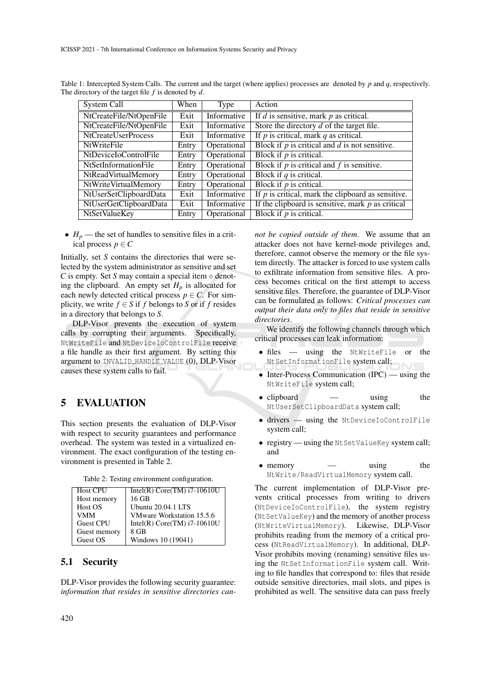| System Call                | When  | Type        | Action                                               |  |
|----------------------------|-------|-------------|------------------------------------------------------|--|
| NtCreateFile/NtOpenFile    | Exit  | Informative | If $d$ is sensitive, mark $p$ as critical.           |  |
| NtCreateFile/NtOpenFile    | Exit  | Informative | Store the directory $d$ of the target file.          |  |
| NtCreateUserProcess        | Exit  | Informative | If $p$ is critical, mark $q$ as critical.            |  |
| <b>NtWriteFile</b>         | Entry | Operational | Block if $p$ is critical and $d$ is not sensitive.   |  |
| NtDeviceIoControlFile      | Entry | Operational | Block if $p$ is critical.                            |  |
| NtSetInformationFile       | Entry | Operational | Block if $p$ is critical and $f$ is sensitive.       |  |
| <b>NtReadVirtualMemory</b> | Entry | Operational | Block if $q$ is critical.                            |  |
| NtWriteVirtualMemory       | Entry | Operational | Block if $p$ is critical.                            |  |
| NtUserSetClipboardData     | Exit  | Informative | If $p$ is critical, mark the clipboard as sensitive. |  |
| NtUserGetClipboardData     | Exit  | Informative | If the clipboard is sensitive, mark $p$ as critical  |  |
| <b>NtSetValueKey</b>       | Entry | Operational | Block if $p$ is critical.                            |  |

Table 1: Intercepted System Calls. The current and the target (where applies) processes are denoted by *p* and *q*, respectively. The directory of the target file *f* is denoted by *d*.

•  $H_p$  — the set of handles to sensitive files in a critical process  $p \in C$ 

Initially, set *S* contains the directories that were selected by the system administrator as sensitive and set *C* is empty. Set *S* may contain a special item  $\circ$  denoting the clipboard. An empty set  $H_p$  is allocated for each newly detected critical process  $p \in C$ . For simplicity, we write  $f \in S$  if *f* belongs to *S* or if *f* resides in a directory that belongs to *S*.

DLP-Visor prevents the execution of system calls by corrupting their arguments. Specifically, NtWriteFile and NtDeviceIoControlFile receive a file handle as their first argument. By setting this argument to INVALID HANDLE VALUE (0), DLP-Visor causes these system calls to fail.

# 5 EVALUATION

This section presents the evaluation of DLP-Visor with respect to security guarantees and performance overhead. The system was tested in a virtualized environment. The exact configuration of the testing environment is presented in Table 2.

Table 2: Testing environment configuration.

| <b>Host CPU</b>  | Intel(R) Core(TM) $i7-10610U$ |
|------------------|-------------------------------|
| Host memory      | 16 GB                         |
| Host OS          | Ubuntu 20.04.1 LTS            |
| VMM              | VMware Workstation 15.5.6     |
| <b>Guest CPU</b> | Intel(R) $Core(TM)$ i7-10610U |
| Guest memory     | 8 GB                          |
| Guest OS         | Windows 10 (19041)            |

#### 5.1 Security

DLP-Visor provides the following security guarantee: *information that resides in sensitive directories can-* *not be copied outside of them*. We assume that an attacker does not have kernel-mode privileges and, therefore, cannot observe the memory or the file system directly. The attacker is forced to use system calls to exfiltrate information from sensitive files. A process becomes critical on the first attempt to access sensitive files. Therefore, the guarantee of DLP-Visor can be formulated as follows: *Critical processes can output their data only to files that reside in sensitive directories*.

We identify the following channels through which critical processes can leak information:

- files using the NtWriteFile or the NtSetInformationFile system call;
- Inter-Process Communication (IPC) using the NtWriteFile system call;
- clipboard using the NtUserSetClipboardData system call;
- drivers using the NtDeviceIoControlFile system call;
- registry using the NtSetValueKey system call; and
- memory using the NtWrite/ReadVirtualMemory system call.

The current implementation of DLP-Visor prevents critical processes from writing to drivers (NtDeviceIoControlFile), the system registry (NtSetValueKey) and the memory of another process (NtWriteVirtualMemory). Likewise, DLP-Visor prohibits reading from the memory of a critical process (NtReadVirtualMemory). In additional, DLP-Visor prohibits moving (renaming) sensitive files using the NtSetInformationFile system call. Writing to file handles that correspond to: files that reside outside sensitive directories, mail slots, and pipes is prohibited as well. The sensitive data can pass freely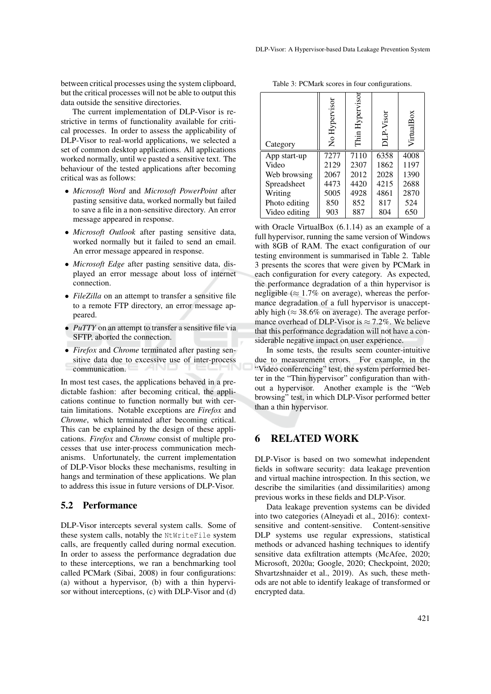between critical processes using the system clipboard, but the critical processes will not be able to output this data outside the sensitive directories.

The current implementation of DLP-Visor is restrictive in terms of functionality available for critical processes. In order to assess the applicability of DLP-Visor to real-world applications, we selected a set of common desktop applications. All applications worked normally, until we pasted a sensitive text. The behaviour of the tested applications after becoming critical was as follows:

- *Microsoft Word* and *Microsoft PowerPoint* after pasting sensitive data, worked normally but failed to save a file in a non-sensitive directory. An error message appeared in response.
- *Microsoft Outlook* after pasting sensitive data, worked normally but it failed to send an email. An error message appeared in response.
- *Microsoft Edge* after pasting sensitive data, displayed an error message about loss of internet connection.
- *FileZilla* on an attempt to transfer a sensitive file to a remote FTP directory, an error message appeared.
- *PuTTY* on an attempt to transfer a sensitive file via SFTP, aborted the connection.
- *Firefox* and *Chrome* terminated after pasting sensitive data due to excessive use of inter-process communication.

In most test cases, the applications behaved in a predictable fashion: after becoming critical, the applications continue to function normally but with certain limitations. Notable exceptions are *Firefox* and *Chrome*, which terminated after becoming critical. This can be explained by the design of these applications. *Firefox* and *Chrome* consist of multiple processes that use inter-process communication mechanisms. Unfortunately, the current implementation of DLP-Visor blocks these mechanisms, resulting in hangs and termination of these applications. We plan to address this issue in future versions of DLP-Visor.

#### 5.2 Performance

DLP-Visor intercepts several system calls. Some of these system calls, notably the NtWriteFile system calls, are frequently called during normal execution. In order to assess the performance degradation due to these interceptions, we ran a benchmarking tool called PCMark (Sibai, 2008) in four configurations: (a) without a hypervisor, (b) with a thin hypervisor without interceptions, (c) with DLP-Visor and (d)

| Category      | No Hypervisor | Hypervisor<br>Thin | DLP-Visor | VirtualBox |
|---------------|---------------|--------------------|-----------|------------|
| App start-up  | 7277          | 7110               | 6358      | 4008       |
| Video         | 2129          | 2307               | 1862      | 1197       |
| Web browsing  | 2067          | 2012               | 2028      | 1390       |
| Spreadsheet   | 4473          | 4420               | 4215      | 2688       |
| Writing       | 5005          | 4928               | 4861      | 2870       |
| Photo editing | 850           | 852                | 817       | 524        |
| Video editing | 903           | 887                | 804       | 650        |

with Oracle VirtualBox (6.1.14) as an example of a full hypervisor, running the same version of Windows with 8GB of RAM. The exact configuration of our testing environment is summarised in Table 2. Table 3 presents the scores that were given by PCMark in each configuration for every category. As expected, the performance degradation of a thin hypervisor is negligible ( $\approx 1.7\%$  on average), whereas the performance degradation of a full hypervisor is unacceptably high ( $\approx 38.6\%$  on average). The average performance overhead of DLP-Visor is  $\approx$  7.2%. We believe that this performance degradation will not have a considerable negative impact on user experience.

In some tests, the results seem counter-intuitive due to measurement errors. For example, in the "Video conferencing" test, the system performed better in the "Thin hypervisor" configuration than without a hypervisor. Another example is the "Web browsing" test, in which DLP-Visor performed better than a thin hypervisor.

## 6 RELATED WORK

DLP-Visor is based on two somewhat independent fields in software security: data leakage prevention and virtual machine introspection. In this section, we describe the similarities (and dissimilarities) among previous works in these fields and DLP-Visor.

Data leakage prevention systems can be divided into two categories (Alneyadi et al., 2016): contextsensitive and content-sensitive. Content-sensitive DLP systems use regular expressions, statistical methods or advanced hashing techniques to identify sensitive data exfiltration attempts (McAfee, 2020; Microsoft, 2020a; Google, 2020; Checkpoint, 2020; Shvartzshnaider et al., 2019). As such, these methods are not able to identify leakage of transformed or encrypted data.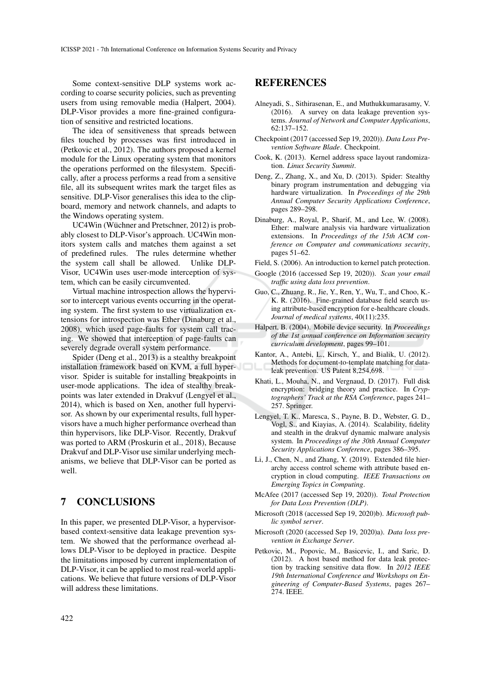Some context-sensitive DLP systems work according to coarse security policies, such as preventing users from using removable media (Halpert, 2004). DLP-Visor provides a more fine-grained configuration of sensitive and restricted locations.

The idea of sensitiveness that spreads between files touched by processes was first introduced in (Petkovic et al., 2012). The authors proposed a kernel module for the Linux operating system that monitors the operations performed on the filesystem. Specifically, after a process performs a read from a sensitive file, all its subsequent writes mark the target files as sensitive. DLP-Visor generalises this idea to the clipboard, memory and network channels, and adapts to the Windows operating system.

UC4Win (Wüchner and Pretschner, 2012) is probably closest to DLP-Visor's approach. UC4Win monitors system calls and matches them against a set of predefined rules. The rules determine whether the system call shall be allowed. Unlike DLP-Visor, UC4Win uses user-mode interception of system, which can be easily circumvented.

Virtual machine introspection allows the hypervisor to intercept various events occurring in the operating system. The first system to use virtualization extensions for introspection was Ether (Dinaburg et al., 2008), which used page-faults for system call tracing. We showed that interception of page-faults can severely degrade overall system performance.

Spider (Deng et al., 2013) is a stealthy breakpoint installation framework based on KVM, a full hypervisor. Spider is suitable for installing breakpoints in user-mode applications. The idea of stealthy breakpoints was later extended in Drakvuf (Lengyel et al., 2014), which is based on Xen, another full hypervisor. As shown by our experimental results, full hypervisors have a much higher performance overhead than thin hypervisors, like DLP-Visor. Recently, Drakvuf was ported to ARM (Proskurin et al., 2018), Because Drakvuf and DLP-Visor use similar underlying mechanisms, we believe that DLP-Visor can be ported as well.

# 7 CONCLUSIONS

In this paper, we presented DLP-Visor, a hypervisorbased context-sensitive data leakage prevention system. We showed that the performance overhead allows DLP-Visor to be deployed in practice. Despite the limitations imposed by current implementation of DLP-Visor, it can be applied to most real-world applications. We believe that future versions of DLP-Visor will address these limitations.

### REFERENCES

- Alneyadi, S., Sithirasenan, E., and Muthukkumarasamy, V. (2016). A survey on data leakage prevention systems. *Journal of Network and Computer Applications*, 62:137–152.
- Checkpoint (2017 (accessed Sep 19, 2020)). *Data Loss Prevention Software Blade*. Checkpoint.
- Cook, K. (2013). Kernel address space layout randomization. *Linux Security Summit*.
- Deng, Z., Zhang, X., and Xu, D. (2013). Spider: Stealthy binary program instrumentation and debugging via hardware virtualization. In *Proceedings of the 29th Annual Computer Security Applications Conference*, pages 289–298.
- Dinaburg, A., Royal, P., Sharif, M., and Lee, W. (2008). Ether: malware analysis via hardware virtualization extensions. In *Proceedings of the 15th ACM conference on Computer and communications security*, pages 51–62.
- Field, S. (2006). An introduction to kernel patch protection.
- Google (2016 (accessed Sep 19, 2020)). *Scan your email traffic using data loss prevention*.
- Guo, C., Zhuang, R., Jie, Y., Ren, Y., Wu, T., and Choo, K.- K. R. (2016). Fine-grained database field search using attribute-based encryption for e-healthcare clouds. *Journal of medical systems*, 40(11):235.
- Halpert, B. (2004). Mobile device security. In *Proceedings of the 1st annual conference on Information security curriculum development*, pages 99–101.
- Kantor, A., Antebi, L., Kirsch, Y., and Bialik, U. (2012). Methods for document-to-template matching for dataleak prevention. US Patent 8,254,698.
- Khati, L., Mouha, N., and Vergnaud, D. (2017). Full disk encryption: bridging theory and practice. In *Cryptographers' Track at the RSA Conference*, pages 241– 257. Springer.
- Lengyel, T. K., Maresca, S., Payne, B. D., Webster, G. D., Vogl, S., and Kiayias, A. (2014). Scalability, fidelity and stealth in the drakvuf dynamic malware analysis system. In *Proceedings of the 30th Annual Computer Security Applications Conference*, pages 386–395.
- Li, J., Chen, N., and Zhang, Y. (2019). Extended file hierarchy access control scheme with attribute based encryption in cloud computing. *IEEE Transactions on Emerging Topics in Computing*.
- McAfee (2017 (accessed Sep 19, 2020)). *Total Protection for Data Loss Prevention (DLP)*.
- Microsoft (2018 (accessed Sep 19, 2020)b). *Microsoft public symbol server*.
- Microsoft (2020 (accessed Sep 19, 2020)a). *Data loss prevention in Exchange Server*.
- Petkovic, M., Popovic, M., Basicevic, I., and Saric, D. (2012). A host based method for data leak protection by tracking sensitive data flow. In *2012 IEEE 19th International Conference and Workshops on Engineering of Computer-Based Systems*, pages 267– 274. IEEE.